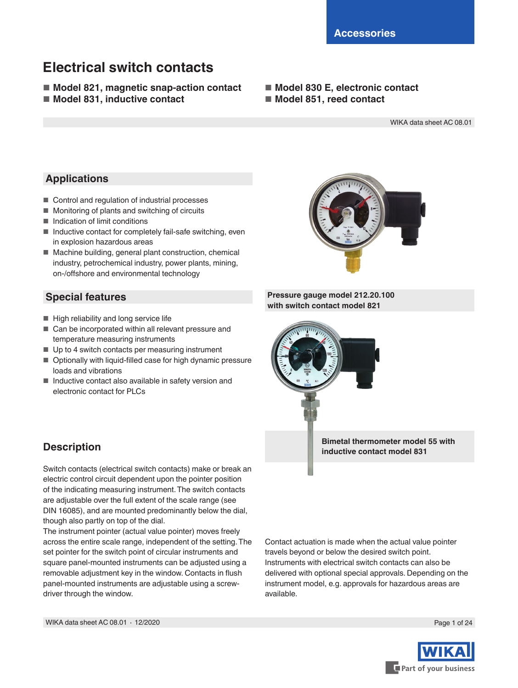# **Electrical switch contacts**

- Model 821, magnetic snap-action contact
- Model 831, inductive contact
- Model 830 E, electronic contact
- Model 851, reed contact

WIKA data sheet AC 08.01

## **Applications**

- Control and regulation of industrial processes
- Monitoring of plants and switching of circuits
- Indication of limit conditions
- Inductive contact for completely fail-safe switching, even in explosion hazardous areas
- Machine building, general plant construction, chemical industry, petrochemical industry, power plants, mining, on-/offshore and environmental technology

## **Special features**

- High reliability and long service life
- Can be incorporated within all relevant pressure and temperature measuring instruments
- Up to 4 switch contacts per measuring instrument
- Optionally with liquid-filled case for high dynamic pressure loads and vibrations
- Inductive contact also available in safety version and electronic contact for PLCs



**Pressure gauge model 212.20.100 with switch contact model 821**

> **Bimetal thermometer model 55 with inductive contact model 831**

Contact actuation is made when the actual value pointer travels beyond or below the desired switch point. Instruments with electrical switch contacts can also be delivered with optional special approvals. Depending on the instrument model, e.g. approvals for hazardous areas are available.



## **Description**

Switch contacts (electrical switch contacts) make or break an electric control circuit dependent upon the pointer position of the indicating measuring instrument. The switch contacts are adjustable over the full extent of the scale range (see DIN 16085), and are mounted predominantly below the dial, though also partly on top of the dial.

The instrument pointer (actual value pointer) moves freely across the entire scale range, independent of the setting. The set pointer for the switch point of circular instruments and square panel-mounted instruments can be adjusted using a removable adjustment key in the window. Contacts in flush panel-mounted instruments are adjustable using a screwdriver through the window.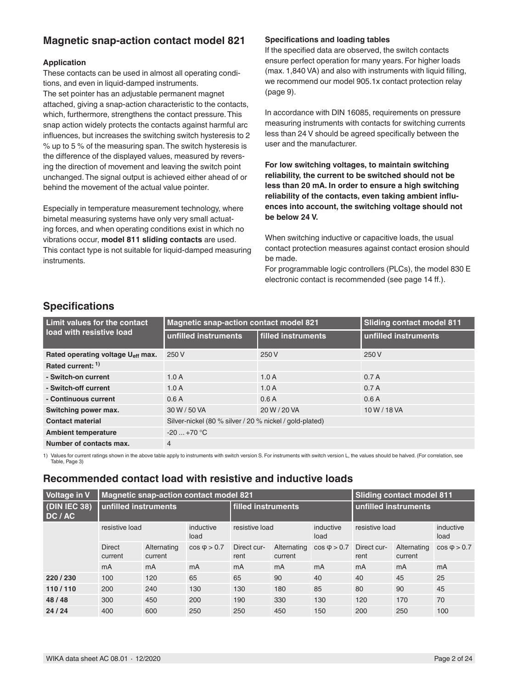## **Magnetic snap-action contact model 821**

### **Application**

These contacts can be used in almost all operating conditions, and even in liquid-damped instruments. The set pointer has an adjustable permanent magnet attached, giving a snap-action characteristic to the contacts, which, furthermore, strengthens the contact pressure. This snap action widely protects the contacts against harmful arc influences, but increases the switching switch hysteresis to 2 % up to 5 % of the measuring span. The switch hysteresis is the difference of the displayed values, measured by reversing the direction of movement and leaving the switch point unchanged. The signal output is achieved either ahead of or behind the movement of the actual value pointer.

Especially in temperature measurement technology, where bimetal measuring systems have only very small actuating forces, and when operating conditions exist in which no vibrations occur, **model 811 sliding contacts** are used. This contact type is not suitable for liquid-damped measuring instruments.

### **Specifications and loading tables**

If the specified data are observed, the switch contacts ensure perfect operation for many years. For higher loads (max. 1,840 VA) and also with instruments with liquid filling, we recommend our model 905.1x contact protection relay (page 9).

In accordance with DIN 16085, requirements on pressure measuring instruments with contacts for switching currents less than 24 V should be agreed specifically between the user and the manufacturer.

**For low switching voltages, to maintain switching reliability, the current to be switched should not be less than 20 mA. In order to ensure a high switching reliability of the contacts, even taking ambient influences into account, the switching voltage should not be below 24 V.**

When switching inductive or capacitive loads, the usual contact protection measures against contact erosion should be made.

For programmable logic controllers (PLCs), the model 830 E electronic contact is recommended (see page 14 ff.).

## **Specifications**

| Limit values for the contact                  | <b>Magnetic snap-action contact model 821</b>           | <b>Sliding contact model 811</b> |                      |  |
|-----------------------------------------------|---------------------------------------------------------|----------------------------------|----------------------|--|
| load with resistive load                      | unfilled instruments                                    | filled instruments               | unfilled instruments |  |
| Rated operating voltage U <sub>eff</sub> max. | 250 V                                                   | 250 V                            | 250 V                |  |
| Rated current: 1)                             |                                                         |                                  |                      |  |
| - Switch-on current                           | 1.0A                                                    | 1.0A                             | 0.7A                 |  |
| - Switch-off current                          | 1.0A                                                    | 1.0A                             | 0.7A                 |  |
| - Continuous current                          | 0.6A                                                    | 0.6A                             | 0.6A                 |  |
| Switching power max.                          | 30 W / 50 VA                                            | 20 W / 20 VA                     | 10 W / 18 VA         |  |
| <b>Contact material</b>                       | Silver-nickel (80 % silver / 20 % nickel / gold-plated) |                                  |                      |  |
| <b>Ambient temperature</b>                    | $-20$ $+70$ °C                                          |                                  |                      |  |
| Number of contacts max.                       | $\overline{4}$                                          |                                  |                      |  |

1) Values for current ratings shown in the above table apply to instruments with switch version S. For instruments with switch version L, the values should be halved. (For correlation, see Table, Page 3)

## **Recommended contact load with resistive and inductive loads**

| <b>Voltage in V</b>         |                          | Magnetic snap-action contact model 821 |                   |                     |                        | <b>Sliding contact model 811</b> |                     |                        |                   |
|-----------------------------|--------------------------|----------------------------------------|-------------------|---------------------|------------------------|----------------------------------|---------------------|------------------------|-------------------|
| $ $ (DIN IEC 38)<br>DC / AC | l unfilled instruments   |                                        |                   | filled instruments  |                        | unfilled instruments             |                     |                        |                   |
|                             | resistive load           |                                        | inductive<br>load | resistive load      |                        | inductive<br>load                | resistive load      |                        | inductive<br>load |
|                             | <b>Direct</b><br>current | Alternating<br>current                 | $cos \phi > 0.7$  | Direct cur-<br>rent | Alternating<br>current | $cos \phi$ > 0.7                 | Direct cur-<br>rent | Alternating<br>current | $\cos \phi$ > 0.7 |
|                             | mA                       | mA                                     | mA                | mA                  | mA                     | mA                               | mA                  | mA                     | mA                |
| 220/230                     | 100                      | 120                                    | 65                | 65                  | 90                     | 40                               | 40                  | 45                     | 25                |
| 110/110                     | 200                      | 240                                    | 130               | 130                 | 180                    | 85                               | 80                  | 90                     | 45                |
| 48/48                       | 300                      | 450                                    | 200               | 190                 | 330                    | 130                              | 120                 | 170                    | 70                |
| 24/24                       | 400                      | 600                                    | 250               | 250                 | 450                    | 150                              | 200                 | 250                    | 100               |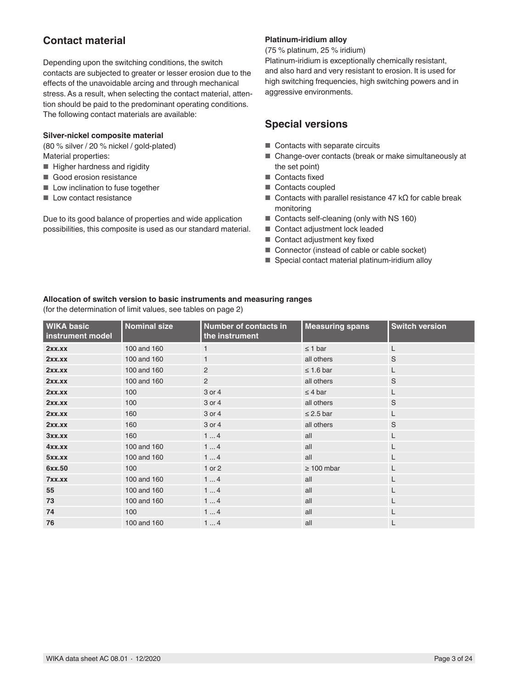## **Contact material**

Depending upon the switching conditions, the switch contacts are subjected to greater or lesser erosion due to the effects of the unavoidable arcing and through mechanical stress. As a result, when selecting the contact material, attention should be paid to the predominant operating conditions. The following contact materials are available:

#### **Silver-nickel composite material**

(80 % silver / 20 % nickel / gold-plated) Material properties:

- Higher hardness and rigidity
- Good erosion resistance
- Low inclination to fuse together
- Low contact resistance

Due to its good balance of properties and wide application possibilities, this composite is used as our standard material.

### **Platinum-iridium alloy**

(75 % platinum, 25 % iridium)

Platinum-iridium is exceptionally chemically resistant, and also hard and very resistant to erosion. It is used for high switching frequencies, high switching powers and in aggressive environments.

## **Special versions**

- Contacts with separate circuits
- Change-over contacts (break or make simultaneously at the set point)
- Contacts fixed
- Contacts coupled
- Contacts with parallel resistance 47 kΩ for cable break monitoring
- Contacts self-cleaning (only with NS 160)
- Contact adjustment lock leaded
- Contact adjustment key fixed
- Connector (instead of cable or cable socket)
- Special contact material platinum-iridium alloy

### **Allocation of switch version to basic instruments and measuring ranges**

(for the determination of limit values, see tables on page 2)

| <b>WIKA basic</b><br>instrument model | <b>Nominal size</b> | <b>Number of contacts in</b><br>the instrument | <b>Measuring spans</b> | <b>Switch version</b> |
|---------------------------------------|---------------------|------------------------------------------------|------------------------|-----------------------|
| 2xx.xx                                | 100 and 160         | $\mathbf{1}$                                   | $\leq$ 1 bar           | L                     |
| 2xx.xx                                | 100 and 160         | $\mathbf{1}$                                   | all others             | S                     |
| 2xx.xx                                | 100 and 160         | 2                                              | $\leq 1.6$ bar         | $\mathsf{L}$          |
| 2xx.xx                                | 100 and 160         | $\overline{2}$                                 | all others             | S                     |
| 2xx.xx                                | 100                 | 3 or 4                                         | $\leq 4$ bar           | $\mathsf{L}$          |
| 2xx.xx                                | 100                 | 3 or 4                                         | all others             | S                     |
| 2xx.xx                                | 160                 | 3 or 4                                         | $\leq$ 2.5 bar         | $\mathsf{L}$          |
| 2xx.xx                                | 160                 | 3 or 4                                         | all others             | S                     |
| 3xx.xx                                | 160                 | 14                                             | all                    | L                     |
| 4xx.xx                                | 100 and 160         | 14                                             | all                    | L                     |
| 5xx.xx                                | 100 and 160         | 14                                             | all                    | L                     |
| 6xx.50                                | 100                 | 1 or 2                                         | $\geq 100$ mbar        | L                     |
| 7xx.xx                                | 100 and 160         | 14                                             | all                    | L                     |
| 55                                    | 100 and 160         | 14                                             | all                    | L                     |
| 73                                    | 100 and 160         | 14                                             | all                    | L                     |
| 74                                    | 100                 | 14                                             | all                    | L                     |
| 76                                    | 100 and 160         | 14                                             | all                    | L                     |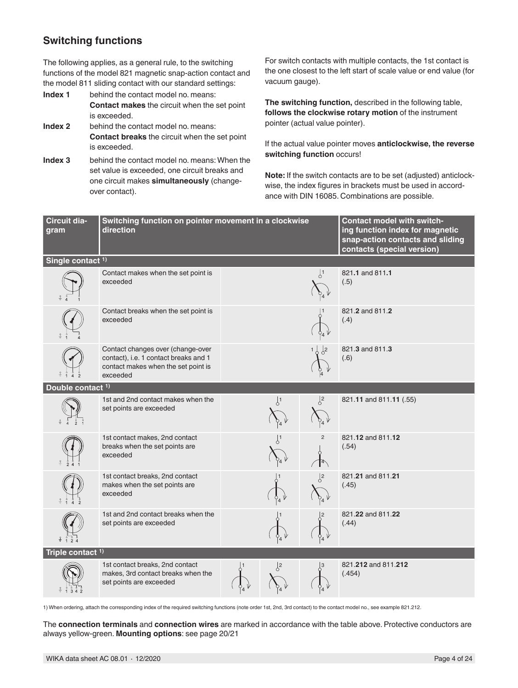## **Switching functions**

The following applies, as a general rule, to the switching functions of the model 821 magnetic snap-action contact and the model 811 sliding contact with our standard settings:

- **Index 1** behind the contact model no. means: **Contact makes** the circuit when the set point is exceeded.
- **Index 2** behind the contact model no. means: **Contact breaks** the circuit when the set point is exceeded.
- **Index 3** behind the contact model no. means: When the set value is exceeded, one circuit breaks and one circuit makes **simultaneously** (changeover contact).

For switch contacts with multiple contacts, the 1st contact is the one closest to the left start of scale value or end value (for vacuum gauge).

**The switching function,** described in the following table, **follows the clockwise rotary motion** of the instrument pointer (actual value pointer).

If the actual value pointer moves **anticlockwise, the reverse switching function** occurs!

**Note:** If the switch contacts are to be set (adjusted) anticlockwise, the index figures in brackets must be used in accordance with DIN 16085. Combinations are possible.

| Circuit dia-<br>gram         | Switching function on pointer movement in a clockwise<br>direction                                                            |               |                                   | <b>Contact model with switch-</b><br>ing function index for magnetic<br>snap-action contacts and sliding<br>contacts (special version) |
|------------------------------|-------------------------------------------------------------------------------------------------------------------------------|---------------|-----------------------------------|----------------------------------------------------------------------------------------------------------------------------------------|
| Single contact <sup>1)</sup> |                                                                                                                               |               |                                   |                                                                                                                                        |
|                              | Contact makes when the set point is<br>exceeded                                                                               |               | $\frac{1}{2}$                     | 821.1 and 811.1<br>(.5)                                                                                                                |
|                              | Contact breaks when the set point is<br>exceeded                                                                              |               |                                   | 821.2 and 811.2<br>(.4)                                                                                                                |
|                              | Contact changes over (change-over<br>contact), i.e. 1 contact breaks and 1<br>contact makes when the set point is<br>exceeded |               | $1\begin{array}{c} 2 \end{array}$ | 821.3 and 811.3<br>(.6)                                                                                                                |
| Double contact <sup>1)</sup> |                                                                                                                               |               |                                   |                                                                                                                                        |
|                              | 1st and 2nd contact makes when the<br>set points are exceeded                                                                 | $\frac{1}{2}$ | $\frac{1}{2}$                     | 821.11 and 811.11 (.55)                                                                                                                |
|                              | 1st contact makes, 2nd contact<br>breaks when the set points are<br>exceeded                                                  |               |                                   | 821.12 and 811.12<br>(.54)                                                                                                             |
|                              | 1st contact breaks, 2nd contact<br>makes when the set points are<br>exceeded                                                  |               | $\sqrt{2}$                        | 821.21 and 811.21<br>(.45)                                                                                                             |
|                              | 1st and 2nd contact breaks when the<br>set points are exceeded                                                                |               |                                   | 821.22 and 811.22<br>(.44)                                                                                                             |
| Triple contact $1$ )         |                                                                                                                               |               |                                   |                                                                                                                                        |
|                              | 1st contact breaks, 2nd contact<br>makes, 3rd contact breaks when the<br>set points are exceeded                              | $\frac{1}{2}$ | $\overline{3}$                    | 821.212 and 811.212<br>(.454)                                                                                                          |

1) When ordering, attach the corresponding index of the required switching functions (note order 1st, 2nd, 3rd contact) to the contact model no., see example 821.212.

The **connection terminals** and **connection wires** are marked in accordance with the table above. Protective conductors are always yellow-green. **Mounting options**: see page 20/21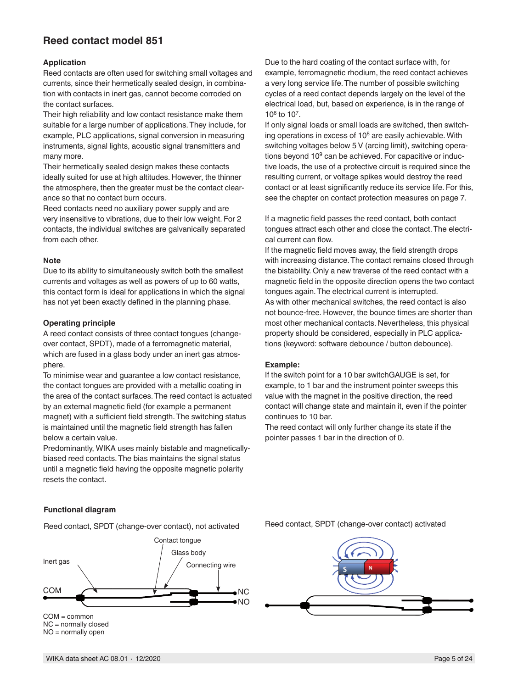## **Reed contact model 851**

### **Application**

Reed contacts are often used for switching small voltages and currents, since their hermetically sealed design, in combination with contacts in inert gas, cannot become corroded on the contact surfaces.

Their high reliability and low contact resistance make them suitable for a large number of applications. They include, for example, PLC applications, signal conversion in measuring instruments, signal lights, acoustic signal transmitters and many more.

Their hermetically sealed design makes these contacts ideally suited for use at high altitudes. However, the thinner the atmosphere, then the greater must be the contact clearance so that no contact burn occurs.

Reed contacts need no auxiliary power supply and are very insensitive to vibrations, due to their low weight. For 2 contacts, the individual switches are galvanically separated from each other.

#### **Note**

Due to its ability to simultaneously switch both the smallest currents and voltages as well as powers of up to 60 watts, this contact form is ideal for applications in which the signal has not yet been exactly defined in the planning phase.

#### **Operating principle**

A reed contact consists of three contact tongues (changeover contact, SPDT), made of a ferromagnetic material, which are fused in a glass body under an inert gas atmosphere.

To minimise wear and guarantee a low contact resistance, the contact tongues are provided with a metallic coating in the area of the contact surfaces. The reed contact is actuated by an external magnetic field (for example a permanent magnet) with a sufficient field strength. The switching status is maintained until the magnetic field strength has fallen below a certain value.

Predominantly, WIKA uses mainly bistable and magneticallybiased reed contacts. The bias maintains the signal status until a magnetic field having the opposite magnetic polarity resets the contact.

Due to the hard coating of the contact surface with, for example, ferromagnetic rhodium, the reed contact achieves a very long service life. The number of possible switching cycles of a reed contact depends largely on the level of the electrical load, but, based on experience, is in the range of 106 to 107.

If only signal loads or small loads are switched, then switching operations in excess of  $10<sup>8</sup>$  are easily achievable. With switching voltages below 5 V (arcing limit), switching operations beyond  $10<sup>9</sup>$  can be achieved. For capacitive or inductive loads, the use of a protective circuit is required since the resulting current, or voltage spikes would destroy the reed contact or at least significantly reduce its service life. For this, see the chapter on contact protection measures on page 7.

If a magnetic field passes the reed contact, both contact tongues attract each other and close the contact. The electrical current can flow.

If the magnetic field moves away, the field strength drops with increasing distance. The contact remains closed through the bistability. Only a new traverse of the reed contact with a magnetic field in the opposite direction opens the two contact tongues again. The electrical current is interrupted. As with other mechanical switches, the reed contact is also not bounce-free. However, the bounce times are shorter than most other mechanical contacts. Nevertheless, this physical property should be considered, especially in PLC applications (keyword: software debounce / button debounce).

#### **Example:**

If the switch point for a 10 bar switchGAUGE is set, for example, to 1 bar and the instrument pointer sweeps this value with the magnet in the positive direction, the reed contact will change state and maintain it, even if the pointer continues to 10 bar.

The reed contact will only further change its state if the pointer passes 1 bar in the direction of 0.

### **Functional diagram**

NO = normally open

Reed contact, SPDT (change-over contact), not activated



Reed contact, SPDT (change-over contact) activated

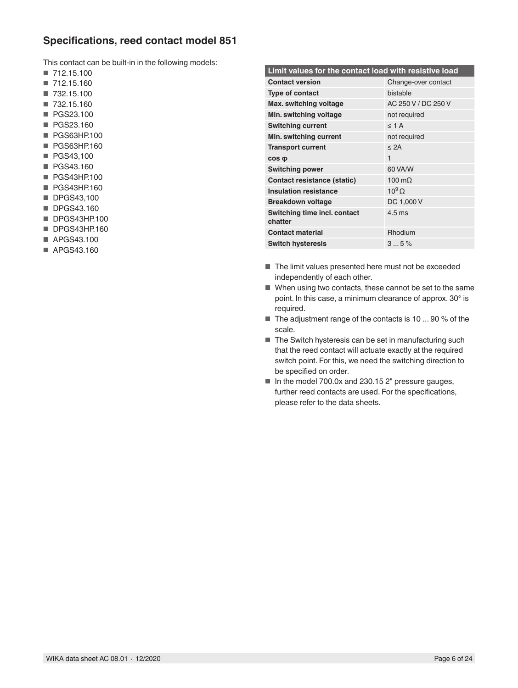## **Specifications, reed contact model 851**

This contact can be built-in in the following models:

- 712.15.100
- 712.15.160
- 732.15.100
- 732.15.160
- PGS23.100
- PGS23.160
- PGS63HP.100
- PGS63HP.160
- PGS43,100
- PGS43.160
- PGS43HP.100
- PGS43HP.160
- DPGS43,100
- DPGS43.160
- DPGS43HP.100
- DPGS43HP.160
- APGS43.100
- APGS43.160

| Limit values for the contact load with resistive load |                     |  |  |  |
|-------------------------------------------------------|---------------------|--|--|--|
| <b>Contact version</b>                                | Change-over contact |  |  |  |
| Type of contact                                       | bistable            |  |  |  |
| Max. switching voltage                                | AC 250 V / DC 250 V |  |  |  |
| Min. switching voltage                                | not required        |  |  |  |
| <b>Switching current</b>                              | $\leq$ 1 A          |  |  |  |
| Min. switching current                                | not required        |  |  |  |
| <b>Transport current</b>                              | $<$ 2A              |  |  |  |
| $cos \phi$                                            | 1                   |  |  |  |
| <b>Switching power</b>                                | 60 VA/W             |  |  |  |
| Contact resistance (static)                           | 100 $m\Omega$       |  |  |  |
| <b>Insulation resistance</b>                          | $10^9$ O            |  |  |  |
| <b>Breakdown voltage</b>                              | DC 1,000 V          |  |  |  |
| Switching time incl. contact<br>chatter               | $4.5$ ms            |  |  |  |
| <b>Contact material</b>                               | Rhodium             |  |  |  |
| <b>Switch hysteresis</b>                              | 35%                 |  |  |  |

- The limit values presented here must not be exceeded independently of each other.
- When using two contacts, these cannot be set to the same point. In this case, a minimum clearance of approx. 30° is required.
- The adjustment range of the contacts is 10 ... 90 % of the scale.
- The Switch hysteresis can be set in manufacturing such that the reed contact will actuate exactly at the required switch point. For this, we need the switching direction to be specified on order.
- In the model 700.0x and 230.15 2" pressure gauges, further reed contacts are used. For the specifications, please refer to the data sheets.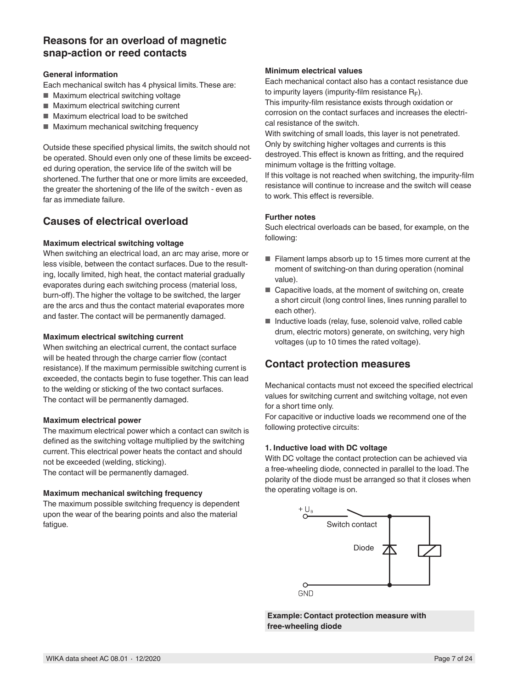## **Reasons for an overload of magnetic snap-action or reed contacts**

### **General information**

Each mechanical switch has 4 physical limits. These are:

- Maximum electrical switching voltage
- Maximum electrical switching current
- Maximum electrical load to be switched
- Maximum mechanical switching frequency

Outside these specified physical limits, the switch should not be operated. Should even only one of these limits be exceeded during operation, the service life of the switch will be shortened. The further that one or more limits are exceeded, the greater the shortening of the life of the switch - even as far as immediate failure.

## **Causes of electrical overload**

### **Maximum electrical switching voltage**

When switching an electrical load, an arc may arise, more or less visible, between the contact surfaces. Due to the resulting, locally limited, high heat, the contact material gradually evaporates during each switching process (material loss, burn-off). The higher the voltage to be switched, the larger are the arcs and thus the contact material evaporates more and faster. The contact will be permanently damaged.

### **Maximum electrical switching current**

When switching an electrical current, the contact surface will be heated through the charge carrier flow (contact resistance). If the maximum permissible switching current is exceeded, the contacts begin to fuse together. This can lead to the welding or sticking of the two contact surfaces. The contact will be permanently damaged.

#### **Maximum electrical power**

The maximum electrical power which a contact can switch is defined as the switching voltage multiplied by the switching current. This electrical power heats the contact and should not be exceeded (welding, sticking).

The contact will be permanently damaged.

#### **Maximum mechanical switching frequency**

The maximum possible switching frequency is dependent upon the wear of the bearing points and also the material fatigue.

#### **Minimum electrical values**

Each mechanical contact also has a contact resistance due to impurity layers (impurity-film resistance  $R_F$ ).

This impurity-film resistance exists through oxidation or corrosion on the contact surfaces and increases the electrical resistance of the switch.

With switching of small loads, this layer is not penetrated. Only by switching higher voltages and currents is this destroyed. This effect is known as fritting, and the required minimum voltage is the fritting voltage.

If this voltage is not reached when switching, the impurity-film resistance will continue to increase and the switch will cease to work. This effect is reversible.

## **Further notes**

Such electrical overloads can be based, for example, on the following:

- Filament lamps absorb up to 15 times more current at the moment of switching-on than during operation (nominal value).
- Capacitive loads, at the moment of switching on, create a short circuit (long control lines, lines running parallel to each other).
- Inductive loads (relay, fuse, solenoid valve, rolled cable drum, electric motors) generate, on switching, very high voltages (up to 10 times the rated voltage).

## **Contact protection measures**

Mechanical contacts must not exceed the specified electrical values for switching current and switching voltage, not even for a short time only.

For capacitive or inductive loads we recommend one of the following protective circuits:

### **1. Inductive load with DC voltage**

With DC voltage the contact protection can be achieved via a free-wheeling diode, connected in parallel to the load. The polarity of the diode must be arranged so that it closes when the operating voltage is on.



**Example: Contact protection measure with free-wheeling diode**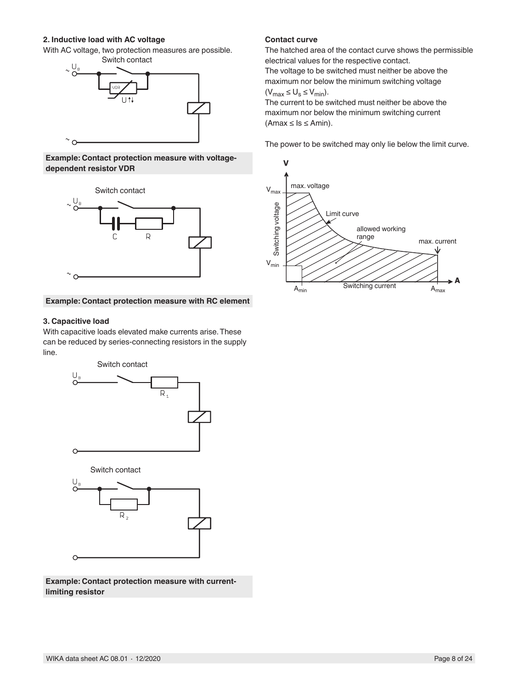### **2. Inductive load with AC voltage**

With AC voltage, two protection measures are possible.



#### **Example: Contact protection measure with voltagedependent resistor VDR**



#### **Example: Contact protection measure with RC element**

#### **3. Capacitive load**

With capacitive loads elevated make currents arise. These can be reduced by series-connecting resistors in the supply line.



**Example: Contact protection measure with currentlimiting resistor**

### **Contact curve**

The hatched area of the contact curve shows the permissible electrical values for the respective contact.

The voltage to be switched must neither be above the maximum nor below the minimum switching voltage  $(V_{max} \leq U_s \leq V_{min}).$ 

The current to be switched must neither be above the maximum nor below the minimum switching current  $(Amax \leq ls \leq Amin)$ .

The power to be switched may only lie below the limit curve.

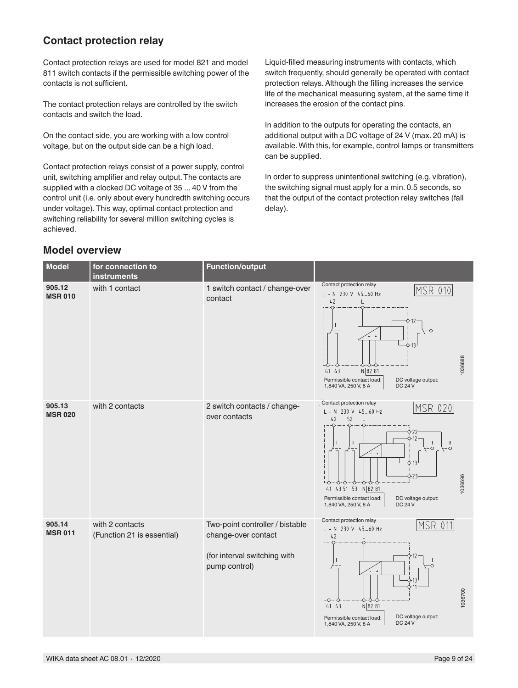## **Contact protection relay**

Contact protection relays are used for model 821 and model 811 switch contacts if the permissible switching power of the contacts is not sufficient.

The contact protection relays are controlled by the switch contacts and switch the load.

On the contact side, you are working with a low control voltage, but on the output side can be a high load.

Contact protection relays consist of a power supply, control unit, switching amplifier and relay output. The contacts are supplied with a clocked DC voltage of 35 ... 40 V from the control unit (i.e. only about every hundredth switching occurs under voltage). This way, optimal contact protection and switching reliability for several million switching cycles is achieved.

Liquid-filled measuring instruments with contacts, which switch frequently, should generally be operated with contact protection relays. Although the filling increases the service life of the mechanical measuring system, at the same time it increases the erosion of the contact pins.

In addition to the outputs for operating the contacts, an additional output with a DC voltage of 24 V (max. 20 mA) is available. With this, for example, control lamps or transmitters can be supplied.

In order to suppress unintentional switching (e.g. vibration), the switching signal must apply for a min. 0.5 seconds, so that the output of the contact protection relay switches (fall delay).

## **Model overview**

| Model                    | for connection to<br><b>instruments</b>       | <b>Function/output</b>                                                                                  |                                                                                                                                                                                                                                                                             |
|--------------------------|-----------------------------------------------|---------------------------------------------------------------------------------------------------------|-----------------------------------------------------------------------------------------------------------------------------------------------------------------------------------------------------------------------------------------------------------------------------|
| 905.12<br><b>MSR 010</b> | with 1 contact                                | 1 switch contact / change-over<br>contact                                                               | Contact protection relay<br> MSR 010 <br>L - N 230 V 4560 Hz<br>42<br>L<br>$\circ$<br>1036688<br>N 82 81<br>41 43<br>Permissible contact load:<br>DC voltage output:<br><b>DC 24 V</b><br>1,840 VA, 250 V, 8 A                                                              |
| 905.13<br><b>MSR 020</b> | with 2 contacts                               | 2 switch contacts / change-<br>over contacts                                                            | Contact protection relay<br>MSR 020<br>L - N 230 V 4560 Hz<br>42<br>52<br>522<br>ò-12<br>$\mathbb{I}$<br>$\mathbb{I}$<br>$\circ$<br>$ \circ$<br>1036696<br>41 43 51 53 N 82 81<br>DC voltage output:<br>Permissible contact load:<br><b>DC 24 V</b><br>1,840 VA, 250 V, 8 A |
| 905.14<br><b>MSR 011</b> | with 2 contacts<br>(Function 21 is essential) | Two-point controller / bistable<br>change-over contact<br>(for interval switching with<br>pump control) | Contact protection relay<br><b>MSR 011</b><br>L - N 230 V 4560 Hz<br>42<br>Ó<br>1036700<br>43<br>N 82 81<br>41<br>DC voltage output:<br>Permissible contact load:<br><b>DC 24 V</b><br>1,840 VA, 250 V, 8 A                                                                 |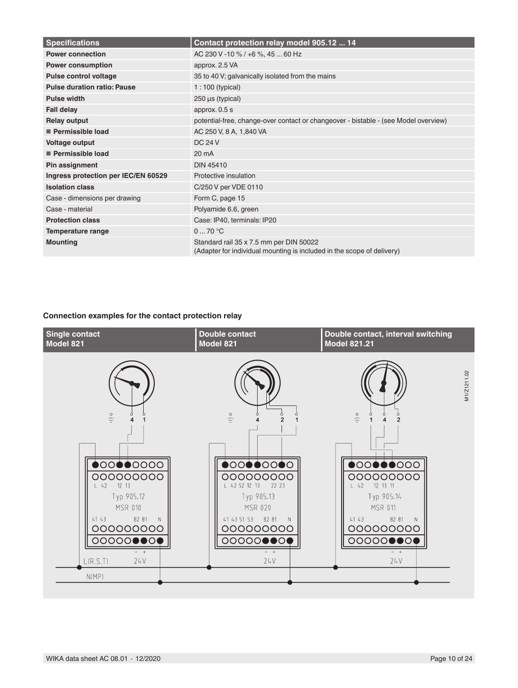| <b>Specifications</b>               | Contact protection relay model 905.12  14                                                                         |
|-------------------------------------|-------------------------------------------------------------------------------------------------------------------|
| <b>Power connection</b>             | AC 230 V -10 % / +6 %, 45  60 Hz                                                                                  |
| <b>Power consumption</b>            | approx. 2.5 VA                                                                                                    |
| <b>Pulse control voltage</b>        | 35 to 40 V; galvanically isolated from the mains                                                                  |
| <b>Pulse duration ratio: Pause</b>  | $1:100$ (typical)                                                                                                 |
| <b>Pulse width</b>                  | $250 \,\mu s$ (typical)                                                                                           |
| <b>Fall delay</b>                   | approx. 0.5 s                                                                                                     |
| <b>Relay output</b>                 | potential-free, change-over contact or changeover - bistable - (see Model overview)                               |
| Permissible load                    | AC 250 V, 8 A, 1,840 VA                                                                                           |
| <b>Voltage output</b>               | <b>DC 24 V</b>                                                                                                    |
| Permissible load                    | $20 \text{ mA}$                                                                                                   |
| Pin assignment                      | <b>DIN 45410</b>                                                                                                  |
| Ingress protection per IEC/EN 60529 | Protective insulation                                                                                             |
| <b>Isolation class</b>              | C/250 V per VDE 0110                                                                                              |
| Case - dimensions per drawing       | Form C, page 15                                                                                                   |
| Case - material                     | Polyamide 6.6, green                                                                                              |
| <b>Protection class</b>             | Case: IP40, terminals: IP20                                                                                       |
| <b>Temperature range</b>            | 070 °C                                                                                                            |
| <b>Mounting</b>                     | Standard rail 35 x 7.5 mm per DIN 50022<br>(Adapter for individual mounting is included in the scope of delivery) |

## **Connection examples for the contact protection relay**

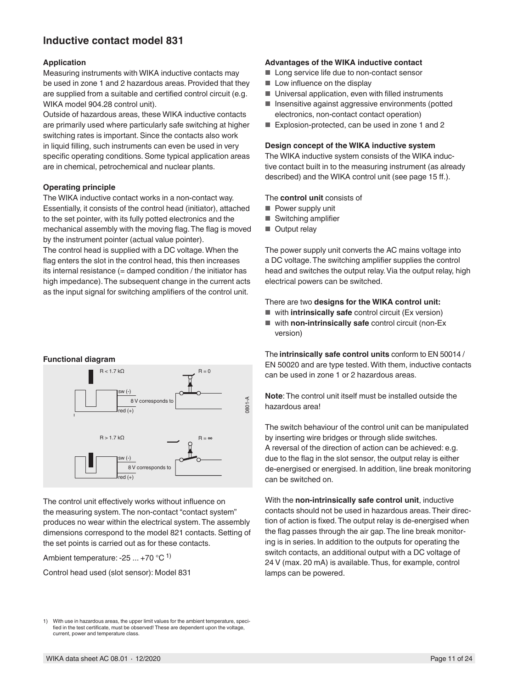## **lnductive contact model 831**

#### **Application**

Measuring instruments with WIKA inductive contacts may be used in zone 1 and 2 hazardous areas. Provided that they are supplied from a suitable and certified control circuit (e.g. WIKA model 904.28 control unit).

Outside of hazardous areas, these WIKA inductive contacts are primarily used where particularly safe switching at higher switching rates is important. Since the contacts also work in liquid filling, such instruments can even be used in very specific operating conditions. Some typical application areas are in chemical, petrochemical and nuclear plants.

### **Operating principle**

The WIKA inductive contact works in a non-contact way. Essentially, it consists of the control head (initiator), attached to the set pointer, with its fully potted electronics and the mechanical assembly with the moving flag. The flag is moved by the instrument pointer (actual value pointer).

The control head is supplied with a DC voltage. When the flag enters the slot in the control head, this then increases its internal resistance (= damped condition / the initiator has high impedance). The subsequent change in the current acts as the input signal for switching amplifiers of the control unit.

### **Advantages of the WIKA inductive contact**

- Long service life due to non-contact sensor
- Low influence on the display
- Universal application, even with filled instruments
- Insensitive against aggressive environments (potted electronics, non-contact contact operation)
- Explosion-protected, can be used in zone 1 and 2

#### **Design concept of the WIKA inductive system**

The WIKA inductive system consists of the WIKA inductive contact built in to the measuring instrument (as already described) and the WIKA control unit (see page 15 ff.).

The **control unit** consists of

- Power supply unit
- Switching amplifier
- Output relay

The power supply unit converts the AC mains voltage into a DC voltage. The switching amplifier supplies the control head and switches the output relay. Via the output relay, high electrical powers can be switched.

#### There are two **designs for the WIKA control unit:**

- with **intrinsically safe** control circuit (Ex version)
- with **non-intrinsically safe** control circuit (non-Ex version)

The **intrinsically safe control units** conform to EN 50014 / EN 50020 and are type tested. With them, inductive contacts can be used in zone 1 or 2 hazardous areas.

**Note**: The control unit itself must be installed outside the hazardous area!

The switch behaviour of the control unit can be manipulated by inserting wire bridges or through slide switches. A reversal of the direction of action can be achieved: e.g. due to the flag in the slot sensor, the output relay is either de-energised or energised. In addition, line break monitoring can be switched on.

With the **non-intrinsically safe control unit**, inductive contacts should not be used in hazardous areas. Their direction of action is fixed. The output relay is de-energised when the flag passes through the air gap. The line break monitoring is in series. In addition to the outputs for operating the switch contacts, an additional output with a DC voltage of 24 V (max. 20 mA) is available. Thus, for example, control lamps can be powered.

#### **Functional diagram**



The control unit effectively works without influence on the measuring system. The non-contact "contact system" produces no wear within the electrical system. The assembly dimensions correspond to the model 821 contacts. Setting of the set points is carried out as for these contacts.

Ambient temperature: -25  $\dots$  +70 °C <sup>1)</sup>

Control head used (slot sensor): Model 831

1) With use in hazardous areas, the upper limit values for the ambient temperature, specified in the test certificate, must be observed! These are dependent upon the voltage, current, power and temperature class.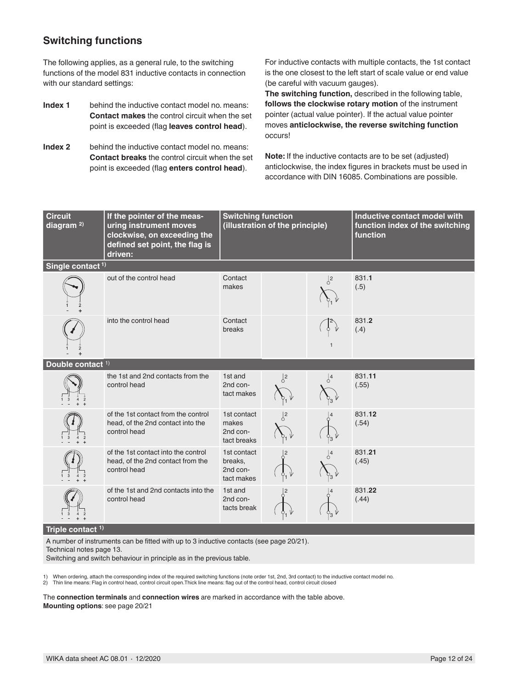## **Switching functions**

The following applies, as a general rule, to the switching functions of the model 831 inductive contacts in connection with our standard settings:

- **Index 1** behind the inductive contact model no. means: **Contact makes** the control circuit when the set point is exceeded (flag **leaves control head**).
- **Index 2** behind the inductive contact model no. means: **Contact breaks** the control circuit when the set point is exceeded (flag **enters control head**).

For inductive contacts with multiple contacts, the 1st contact is the one closest to the left start of scale value or end value (be careful with vacuum gauges).

**The switching function,** described in the following table, **follows the clockwise rotary motion** of the instrument pointer (actual value pointer). If the actual value pointer moves **anticlockwise, the reverse switching function**  occurs!

**Note:** If the inductive contacts are to be set (adjusted) anticlockwise, the index figures in brackets must be used in accordance with DIN 16085. Combinations are possible.

| <b>Circuit</b><br>diagram <sup>2)</sup> | If the pointer of the meas-<br>uring instrument moves<br>clockwise, on exceeding the<br>defined set point, the flag is<br>driven: | <b>Switching function</b>                        | (illustration of the principle) |                | Inductive contact model with<br>function index of the switching<br>function |
|-----------------------------------------|-----------------------------------------------------------------------------------------------------------------------------------|--------------------------------------------------|---------------------------------|----------------|-----------------------------------------------------------------------------|
| Single contact <sup>1)</sup>            |                                                                                                                                   |                                                  |                                 |                |                                                                             |
|                                         | out of the control head                                                                                                           | Contact<br>makes                                 |                                 | $\sqrt{2}$     | 831.1<br>(.5)                                                               |
|                                         | into the control head                                                                                                             | Contact<br>breaks                                |                                 |                | 831.2<br>(.4)                                                               |
| Double contact <sup>1)</sup>            |                                                                                                                                   |                                                  |                                 |                |                                                                             |
|                                         | the 1st and 2nd contacts from the<br>control head                                                                                 | 1st and<br>2nd con-<br>tact makes                | $\sqrt{2}$                      | $\sqrt{4}$     | 831.11<br>(.55)                                                             |
|                                         | of the 1st contact from the control<br>head, of the 2nd contact into the<br>control head                                          | 1st contact<br>makes<br>2nd con-<br>tact breaks  | $\sqrt{2}$                      | $\frac{1}{3}V$ | 831.12<br>(.54)                                                             |
|                                         | of the 1st contact into the control<br>head, of the 2nd contact from the<br>control head                                          | 1st contact<br>breaks,<br>2nd con-<br>tact makes |                                 |                | 831.21<br>(.45)                                                             |
|                                         | of the 1st and 2nd contacts into the<br>control head                                                                              | 1st and<br>2nd con-<br>tacts break               |                                 | ှို            | 831.22<br>(.44)                                                             |

**Triple contact 1)**

A number of instruments can be fitted with up to 3 inductive contacts (see page 20/21).

Technical notes page 13.

Switching and switch behaviour in principle as in the previous table.

1) When ordering, attach the corresponding index of the required switching functions (note order 1st, 2nd, 3rd contact) to the inductive contact model no.<br>2) Thin line means: Flag in control head, control circuit open.Thic

The **connection terminals** and **connection wires** are marked in accordance with the table above. **Mounting options**: see page 20/21

WIKA data sheet AC 08.01 ⋅ 12/2020 Page 12 of 24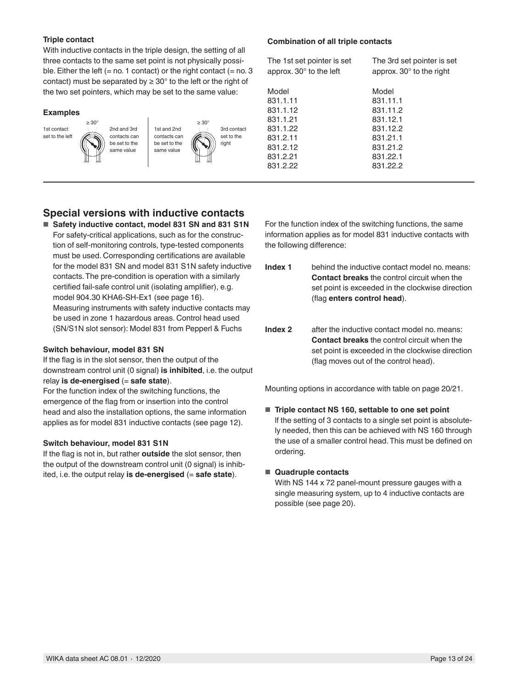### **Triple contact**

With inductive contacts in the triple design, the setting of all three contacts to the same set point is not physically possible. Either the left  $(= no. 1$  contact) or the right contact  $(= no. 3)$ contact) must be separated by  $\geq 30^{\circ}$  to the left or the right of the two set pointers, which may be set to the same value:

#### **Examples**



2nd and 3rd contacts can be set to the same value

1st and 2nd contacts can be set to the same value

3rd contact set to the right ≥ 30°

#### **Combination of all triple contacts**

| The 1st set pointer is set<br>approx. $30^\circ$ to the left | The 3rd set pointer is set<br>approx. $30^\circ$ to the right |
|--------------------------------------------------------------|---------------------------------------------------------------|
| Model                                                        | Model                                                         |
| 831.1.11                                                     | 831.11.1                                                      |
| 831.1.12                                                     | 831.11.2                                                      |
| 831.1.21                                                     | 831.12.1                                                      |
| 831.1.22                                                     | 831.12.2                                                      |
| 831.2.11                                                     | 831.21.1                                                      |
| 831.2.12                                                     | 831.21.2                                                      |
| 831.2.21                                                     | 831.22.1                                                      |
| 831.2.22                                                     | 831.22.2                                                      |
|                                                              |                                                               |

## **Special versions with inductive contacts**

■ Safety inductive contact, model 831 SN and 831 S1N For safety-critical applications, such as for the construction of self-monitoring controls, type-tested components must be used. Corresponding certifications are available for the model 831 SN and model 831 S1N safety inductive contacts. The pre-condition is operation with a similarly certified fail-safe control unit (isolating amplifier), e.g. model 904.30 KHA6-SH-Ex1 (see page 16). Measuring instruments with safety inductive contacts may be used in zone 1 hazardous areas. Control head used (SN/S1N slot sensor): Model 831 from Pepperl & Fuchs

#### **Switch behaviour, model 831 SN**

If the flag is in the slot sensor, then the output of the downstream control unit (0 signal) **is inhibited**, i.e. the output relay **is de-energised** (= safe state).

For the function index of the switching functions, the emergence of the flag from or insertion into the control head and also the installation options, the same information applies as for model 831 inductive contacts (see page 12).

#### **Switch behaviour, model 831 S1N**

If the flag is not in, but rather **outside** the slot sensor, then the output of the downstream control unit (0 signal) is inhibited, i.e. the output relay **is de-energised** (= **safe state**).

For the function index of the switching functions, the same information applies as for model 831 inductive contacts with the following difference:

- **Index 1** behind the inductive contact model no. means: **Contact breaks** the control circuit when the set point is exceeded in the clockwise direction (flag **enters control head**).
- **Index 2** after the inductive contact model no. means: **Contact breaks** the control circuit when the set point is exceeded in the clockwise direction (flag moves out of the control head).

Mounting options in accordance with table on page 20/21.

### ■ **Triple contact NS 160, settable to one set point** lf the setting of 3 contacts to a single set point is absolutely needed, then this can be achieved with NS 160 through the use of a smaller control head. This must be defined on ordering.

#### ■ **Quadruple contacts**

With NS 144 x 72 panel-mount pressure gauges with a single measuring system, up to 4 inductive contacts are possible (see page 20).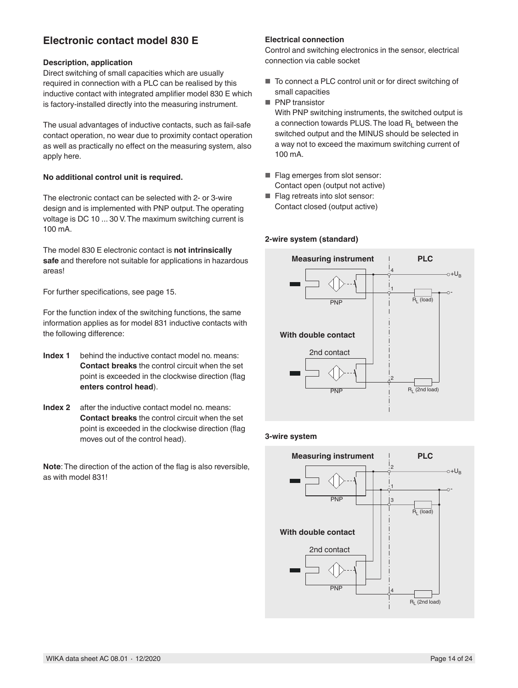## **Electronic contact model 830 E**

### **Description, application**

Direct switching of small capacities which are usually required in connection with a PLC can be realised by this inductive contact with integrated amplifier model 830 E which is factory-installed directly into the measuring instrument.

The usual advantages of inductive contacts, such as fail-safe contact operation, no wear due to proximity contact operation as well as practically no effect on the measuring system, also apply here.

### **No additional control unit is required.**

The electronic contact can be selected with 2- or 3-wire design and is implemented with PNP output. The operating voltage is DC 10 ... 30 V. The maximum switching current is 100 mA.

The model 830 E electronic contact is **not intrinsically safe** and therefore not suitable for applications in hazardous areas!

For further specifications, see page 15.

For the function index of the switching functions, the same information applies as for model 831 inductive contacts with the following difference:

- **Index 1** behind the inductive contact model no. means: **Contact breaks** the control circuit when the set point is exceeded in the clockwise direction (flag **enters control head**).
- **Index 2** after the inductive contact model no. means: **Contact breaks** the control circuit when the set point is exceeded in the clockwise direction (flag moves out of the control head).

**Note**: The direction of the action of the flag is also reversible, as with model 831!

### **Electrical connection**

Control and switching electronics in the sensor, electrical connection via cable socket

- To connect a PLC control unit or for direct switching of small capacities
- PNP transistor

With PNP switching instruments, the switched output is a connection towards PLUS. The load  $R_1$  between the switched output and the MINUS should be selected in a way not to exceed the maximum switching current of 100 mA.

- Flag emerges from slot sensor: Contact open (output not active)
- Flag retreats into slot sensor: Contact closed (output active)

#### **2-wire system (standard)**



#### **3-wire system**

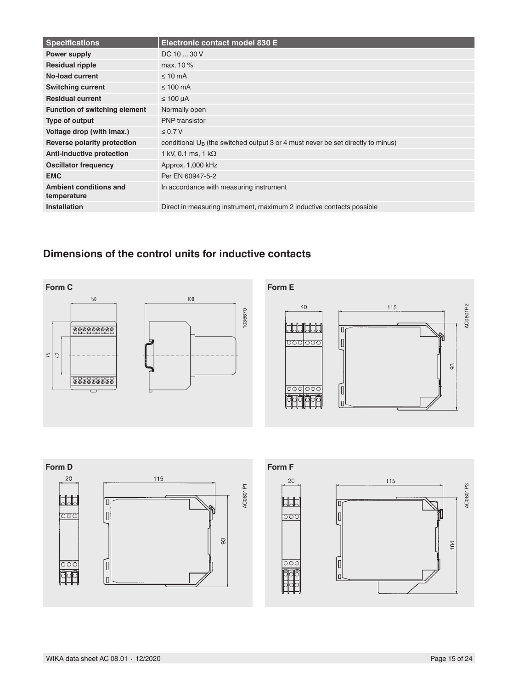| <b>Specifications</b>                 | Electronic contact model 830 E                                                     |
|---------------------------------------|------------------------------------------------------------------------------------|
| Power supply                          | DC 10  30 V                                                                        |
| <b>Residual ripple</b>                | max. 10 %                                                                          |
| No-load current                       | $\leq 10$ mA                                                                       |
| <b>Switching current</b>              | $\leq 100$ mA                                                                      |
| <b>Residual current</b>               | $\leq 100 \mu A$                                                                   |
| <b>Function of switching element</b>  | Normally open                                                                      |
| Type of output                        | <b>PNP</b> transistor                                                              |
| Voltage drop (with Imax.)             | $\leq 0.7 V$                                                                       |
| Reverse polarity protection           | conditional $U_B$ (the switched output 3 or 4 must never be set directly to minus) |
| <b>Anti-inductive protection</b>      | 1 kV, 0.1 ms, 1 k $\Omega$                                                         |
| <b>Oscillator frequency</b>           | Approx. 1,000 kHz                                                                  |
| <b>EMC</b>                            | Per EN 60947-5-2                                                                   |
| Ambient conditions and<br>temperature | In accordance with measuring instrument                                            |
| <b>Installation</b>                   | Direct in measuring instrument, maximum 2 inductive contacts possible              |

## **Dimensions of the control units for inductive contacts**



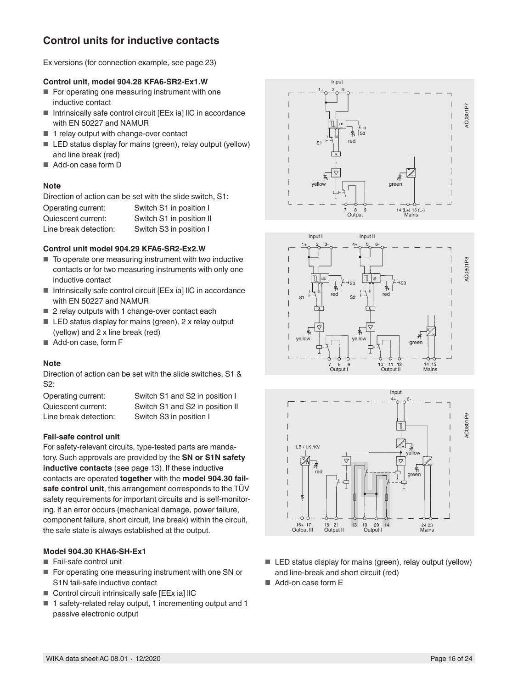## **Control units for inductive contacts**

Ex versions (for connection example, see page 23)

### **Control unit, model 904.28 KFA6-SR2-Ex1.W**

- For operating one measuring instrument with one inductive contact
- Intrinsically safe control circuit [EEx ia] IIC in accordance with EN 50227 and NAMUR
- 1 relay output with change-over contact
- LED status display for mains (green), relay output (yellow) and line break (red)
- Add-on case form D

### **Note**

Direction of action can be set with the slide switch, S1:

| Operating current:    | Switch S1 in position I  |
|-----------------------|--------------------------|
| Quiescent current:    | Switch S1 in position II |
| Line break detection: | Switch S3 in position I  |

### **Control unit model 904.29 KFA6-SR2-Ex2.W**

- To operate one measuring instrument with two inductive contacts or for two measuring instruments with only one inductive contact
- Intrinsically safe control circuit [EEx ia] IIC in accordance with EN 50227 and NAMUR
- 2 relay outputs with 1 change-over contact each
- LED status display for mains (green), 2 x relay output (yellow) and 2 x line break (red)
- Add-on case, form F

### **Note**

Direction of action can be set with the slide switches, S1 & S2:

Line break detection: Switch S3 in position I

Operating current: Switch S1 and S2 in position I Quiescent current: Switch S1 and S2 in position II

### **Fail-safe control unit**

For safety-relevant circuits, type-tested parts are mandatory. Such approvals are provided by the **SN or S1N safety inductive contacts** (see page 13). If these inductive contacts are operated **together** with the **model 904.30 failsafe control unit**, this arrangement corresponds to the TÜV safety requirements for important circuits and is self-monitoring. If an error occurs (mechanical damage, power failure, component failure, short circuit, line break) within the circuit, the safe state is always established at the output.

### **Model 904.30 KHA6-SH-Ex1**

- Fail-safe control unit
- For operating one measuring instrument with one SN or S1N fail-safe inductive contact
- Control circuit intrinsically safe [EEx ia] IIC
- 1 safety-related relay output, 1 incrementing output and 1 passive electronic output







- LED status display for mains (green), relay output (yellow) and line-break and short circuit (red)
- Add-on case form E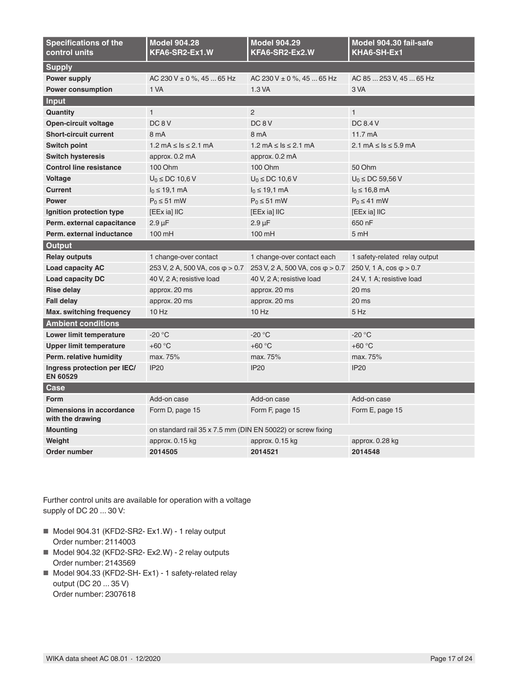| <b>Specifications of the</b><br>control units       | <b>Model 904.28</b><br>KFA6-SR2-Ex1.W                       | <b>Model 904.29</b><br>KFA6-SR2-Ex2.W               | Model 904.30 fail-safe<br>KHA6-SH-Ex1 |
|-----------------------------------------------------|-------------------------------------------------------------|-----------------------------------------------------|---------------------------------------|
| <b>Supply</b>                                       |                                                             |                                                     |                                       |
| Power supply                                        | AC 230 V $\pm$ 0 %, 45  65 Hz                               | AC 230 V $\pm$ 0 %, 45  65 Hz                       | AC 85  253 V, 45  65 Hz               |
| <b>Power consumption</b>                            | 1 VA                                                        | 1.3 VA                                              | 3 VA                                  |
| Input                                               |                                                             |                                                     |                                       |
| Quantity                                            | $\mathbf{1}$                                                | 2                                                   | $\mathbf{1}$                          |
| Open-circuit voltage                                | DC <sub>8</sub> V                                           | DC <sub>8</sub> V                                   | DC 8.4 V                              |
| <b>Short-circuit current</b>                        | 8 mA                                                        | 8 mA                                                | $11.7 \text{ mA}$                     |
| <b>Switch point</b>                                 | $1.2 \text{ mA} \leq \text{Is} \leq 2.1 \text{ mA}$         | $1.2 \text{ mA} \leq \text{Is} \leq 2.1 \text{ mA}$ | 2.1 mA $\leq$ ls $\leq$ 5.9 mA        |
| <b>Switch hysteresis</b>                            | approx. 0.2 mA                                              | approx. 0.2 mA                                      |                                       |
| <b>Control line resistance</b>                      | 100 Ohm                                                     | 100 Ohm                                             | 50 Ohm                                |
| <b>Voltage</b>                                      | $U_0 \le DC 10.6 V$                                         | $U_0 \le DC 10.6 V$                                 | $U_0 \le DC$ 59,56 V                  |
| <b>Current</b>                                      | $I_0 \le 19,1 \text{ mA}$                                   | $I_0 \le 19, 1 \text{ mA}$                          | $I_0 \le 16.8$ mA                     |
| <b>Power</b>                                        | $P_0 \leq 51$ mW                                            | $P_0 \leq 51$ mW                                    | $P_0 \leq 41$ mW                      |
| Ignition protection type                            | [EEx ia] IIC                                                | [EEx ia] IIC                                        | [EEx ia] IIC                          |
| Perm. external capacitance                          | $2.9 \mu F$                                                 | $2.9 \mu F$                                         | 650 nF                                |
| Perm, external inductance                           | 100 mH                                                      | 100 mH                                              | 5 mH                                  |
| Output                                              |                                                             |                                                     |                                       |
|                                                     |                                                             |                                                     |                                       |
| <b>Relay outputs</b>                                | 1 change-over contact                                       | 1 change-over contact each                          | 1 safety-related relay output         |
| <b>Load capacity AC</b>                             | 253 V, 2 A, 500 VA, $\cos \phi > 0.7$                       | 253 V, 2 A, 500 VA, $\cos \varphi > 0.7$            | 250 V, 1 A, $\cos \varphi > 0.7$      |
| <b>Load capacity DC</b>                             | 40 V, 2 A; resistive load                                   | 40 V, 2 A; resistive load                           | 24 V, 1 A; resistive load             |
| <b>Rise delay</b>                                   | approx. 20 ms                                               | approx. 20 ms                                       | 20 ms                                 |
| <b>Fall delay</b>                                   | approx. 20 ms                                               | approx. 20 ms                                       | 20 ms                                 |
| Max. switching frequency                            | $10$ Hz                                                     | $10$ Hz                                             | 5 Hz                                  |
| <b>Ambient conditions</b>                           |                                                             |                                                     |                                       |
| Lower limit temperature                             | $-20 °C$                                                    | $-20 °C$                                            | $-20 °C$                              |
| <b>Upper limit temperature</b>                      | $+60 °C$                                                    | $+60 °C$                                            | $+60 °C$                              |
| Perm. relative humidity                             | max. 75%                                                    | max. 75%                                            | max. 75%                              |
| Ingress protection per IEC/<br><b>EN 60529</b>      | <b>IP20</b>                                                 | <b>IP20</b>                                         | <b>IP20</b>                           |
| Case                                                |                                                             |                                                     |                                       |
| <b>Form</b>                                         | Add-on case                                                 | Add-on case                                         | Add-on case                           |
| <b>Dimensions in accordance</b><br>with the drawing | Form D, page 15                                             | Form F, page 15                                     | Form E, page 15                       |
| <b>Mounting</b>                                     | on standard rail 35 x 7.5 mm (DIN EN 50022) or screw fixing |                                                     |                                       |
| Weight                                              | approx. 0.15 kg                                             | approx. 0.15 kg                                     | approx. 0.28 kg                       |

Further control units are available for operation with a voltage supply of DC 20 ... 30 V:

- Model 904.31 (KFD2-SR2- Ex1.W) 1 relay output Order number: 2114003
- Model 904.32 (KFD2-SR2- Ex2.W) 2 relay outputs Order number: 2143569
- Model 904.33 (KFD2-SH- Ex1) 1 safety-related relay output (DC 20 ... 35 V) Order number: 2307618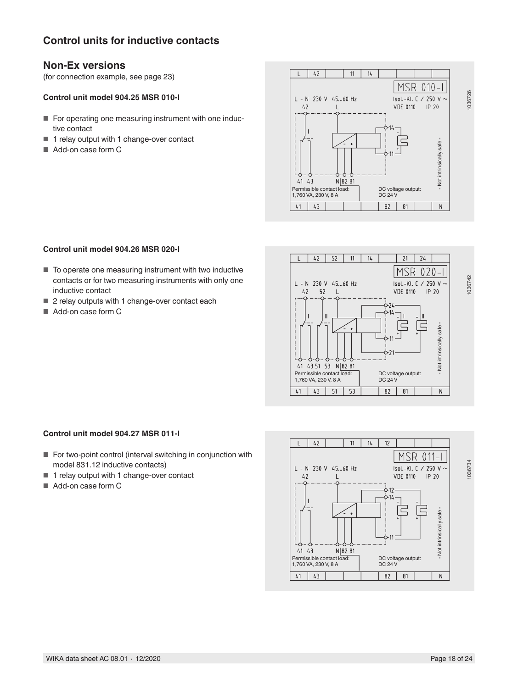## **Control units for inductive contacts**

## **Non-Ex versions**

(for connection example, see page 23)

### **Control unit model 904.25 MSR 010-I**

- For operating one measuring instrument with one inductive contact
- 1 relay output with 1 change-over contact
- Add-on case form C



### **Control unit model 904.26 MSR 020-I**

- To operate one measuring instrument with two inductive contacts or for two measuring instruments with only one inductive contact
- 2 relay outputs with 1 change-over contact each
- Add-on case form C



#### **Control unit model 904.27 MSR 011-I**

- For two-point control (interval switching in conjunction with model 831.12 inductive contacts)
- 1 relay output with 1 change-over contact
- Add-on case form C

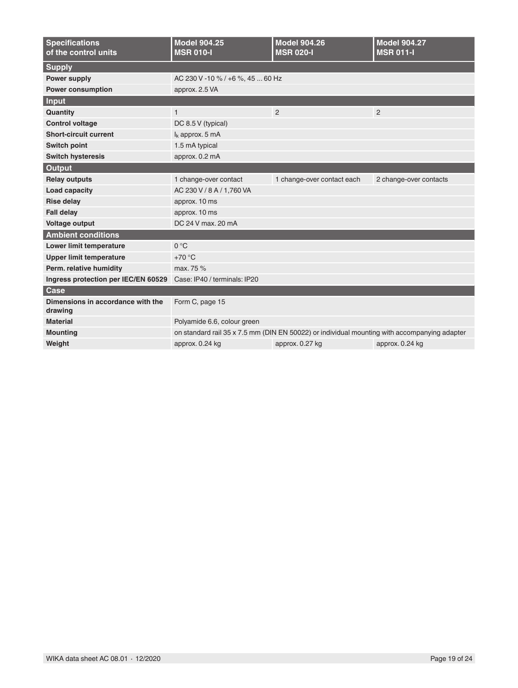| <b>Specifications</b><br>of the control units | <b>Model 904.25</b><br><b>MSR 010-I</b>                                                      | <b>Model 904.26</b><br><b>MSR 020-I</b> | <b>Model 904.27</b><br><b>MSR 011-I</b> |  |  |  |  |  |
|-----------------------------------------------|----------------------------------------------------------------------------------------------|-----------------------------------------|-----------------------------------------|--|--|--|--|--|
| <b>Supply</b>                                 |                                                                                              |                                         |                                         |  |  |  |  |  |
| <b>Power supply</b>                           | AC 230 V -10 % / +6 %, 45  60 Hz                                                             |                                         |                                         |  |  |  |  |  |
| <b>Power consumption</b>                      | approx. 2.5 VA                                                                               |                                         |                                         |  |  |  |  |  |
| Input                                         |                                                                                              |                                         |                                         |  |  |  |  |  |
| Quantity                                      | $\mathbf{1}$                                                                                 | $\overline{2}$<br>$\overline{2}$        |                                         |  |  |  |  |  |
| <b>Control voltage</b>                        | DC 8.5 V (typical)                                                                           |                                         |                                         |  |  |  |  |  |
| <b>Short-circuit current</b>                  | $I_k$ approx. 5 mA                                                                           |                                         |                                         |  |  |  |  |  |
| <b>Switch point</b>                           | 1.5 mA typical                                                                               |                                         |                                         |  |  |  |  |  |
| <b>Switch hysteresis</b>                      | approx. 0.2 mA                                                                               |                                         |                                         |  |  |  |  |  |
| Output                                        |                                                                                              |                                         |                                         |  |  |  |  |  |
| <b>Relay outputs</b>                          | 1 change-over contact<br>1 change-over contact each<br>2 change-over contacts                |                                         |                                         |  |  |  |  |  |
| Load capacity                                 | AC 230 V / 8 A / 1.760 VA                                                                    |                                         |                                         |  |  |  |  |  |
| <b>Rise delay</b>                             | approx. 10 ms                                                                                |                                         |                                         |  |  |  |  |  |
| <b>Fall delay</b>                             | approx. 10 ms                                                                                |                                         |                                         |  |  |  |  |  |
| Voltage output                                | DC 24 V max, 20 mA                                                                           |                                         |                                         |  |  |  |  |  |
| <b>Ambient conditions</b>                     |                                                                                              |                                         |                                         |  |  |  |  |  |
| Lower limit temperature                       | $0^{\circ}C$                                                                                 |                                         |                                         |  |  |  |  |  |
| <b>Upper limit temperature</b>                | $+70 °C$                                                                                     |                                         |                                         |  |  |  |  |  |
| Perm. relative humidity                       | max. 75 %                                                                                    |                                         |                                         |  |  |  |  |  |
| Ingress protection per IEC/EN 60529           | Case: IP40 / terminals: IP20                                                                 |                                         |                                         |  |  |  |  |  |
| <b>Case</b>                                   |                                                                                              |                                         |                                         |  |  |  |  |  |
| Dimensions in accordance with the<br>drawing  | Form C, page 15                                                                              |                                         |                                         |  |  |  |  |  |
| <b>Material</b>                               | Polyamide 6.6, colour green                                                                  |                                         |                                         |  |  |  |  |  |
| <b>Mounting</b>                               | on standard rail 35 x 7.5 mm (DIN EN 50022) or individual mounting with accompanying adapter |                                         |                                         |  |  |  |  |  |
| Weight                                        | approx. 0.24 kg<br>approx. 0.27 kg<br>approx. 0.24 kg                                        |                                         |                                         |  |  |  |  |  |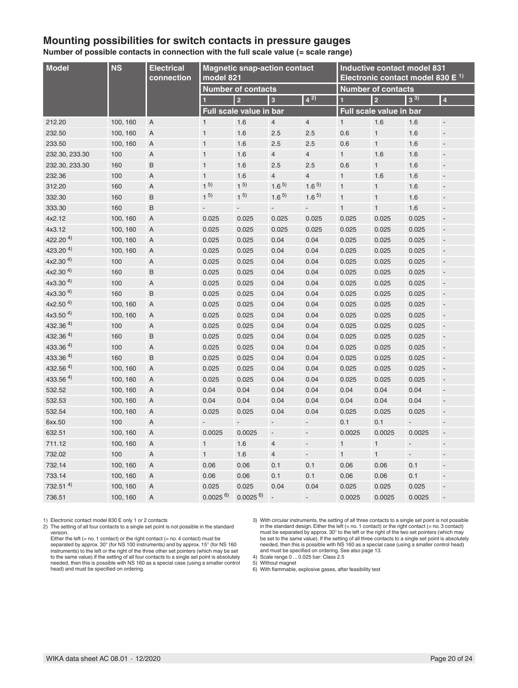## **Mounting possibilities for switch contacts in pressure gauges**

**Number of possible contacts in connection with the full scale value (= scale range)**

| <b>Model</b>           | <b>NS</b> | <b>Electrical</b><br>connection | <b>Magnetic snap-action contact</b><br>model 821 |                         |                          |                          | <b>Inductive contact model 831</b><br>Electronic contact model 830 E <sup>1)</sup> |                |                          |                                 |
|------------------------|-----------|---------------------------------|--------------------------------------------------|-------------------------|--------------------------|--------------------------|------------------------------------------------------------------------------------|----------------|--------------------------|---------------------------------|
|                        |           |                                 | <b>Number of contacts</b>                        |                         |                          |                          | <b>Number of contacts</b>                                                          |                |                          |                                 |
|                        |           |                                 | 1                                                | $\overline{2}$          | $\vert$ 3                | $4^{2}$                  | п                                                                                  | $\overline{2}$ | $3^{3}$                  | 4                               |
|                        |           |                                 |                                                  | Full scale value in bar |                          |                          | Full scale value in bar                                                            |                |                          |                                 |
| 212.20                 | 100, 160  | A                               | $\mathbf{1}$                                     | 1.6                     | $\overline{4}$           | $\overline{4}$           | $\mathbf{1}$                                                                       | 1.6            | 1.6                      | ÷,                              |
| 232.50                 | 100, 160  | A                               | $\mathbf{1}$                                     | 1.6                     | 2.5                      | 2.5                      | 0.6                                                                                | $\mathbf{1}$   | 1.6                      | ÷,                              |
| 233.50                 | 100, 160  | A                               | $\mathbf{1}$                                     | 1.6                     | 2.5                      | 2.5                      | 0.6                                                                                | $\mathbf{1}$   | 1.6                      | $\blacksquare$                  |
| 232.30, 233.30         | 100       | $\overline{A}$                  | $\mathbf{1}$                                     | 1.6                     | $\overline{4}$           | $\overline{4}$           | $\mathbf{1}$                                                                       | 1.6            | 1.6                      | $\centering \label{eq:reduced}$ |
| 232.30, 233.30         | 160       | B                               | $\mathbf{1}$                                     | 1.6                     | 2.5                      | 2.5                      | 0.6                                                                                | $\mathbf{1}$   | 1.6                      | $\blacksquare$                  |
| 232.36                 | 100       | A                               | $\mathbf{1}$                                     | 1.6                     | $\overline{4}$           | $\overline{4}$           | $\mathbf{1}$                                                                       | 1.6            | 1.6                      | $\blacksquare$                  |
| 312.20                 | 160       | A                               | $1^{5}$                                          | $1^{5}$                 | $1.6^{5}$                | 1.6 <sup>5</sup>         | $\mathbf{1}$                                                                       | $\mathbf{1}$   | 1.6                      | $\overline{\phantom{a}}$        |
| 332.30                 | 160       | B                               | $1^{5}$                                          | $1^{5}$                 | $1.6^{5}$                | $1.6^{5}$                | $\mathbf{1}$                                                                       | $\mathbf{1}$   | 1.6                      | $\overline{\phantom{a}}$        |
| 333.30                 | 160       | B                               | $\blacksquare$                                   | $\blacksquare$          | $\overline{\phantom{a}}$ | $\overline{\phantom{a}}$ | $\overline{1}$                                                                     | $\mathbf{1}$   | 1.6                      | $\blacksquare$                  |
| 4x2.12                 | 100, 160  | A                               | 0.025                                            | 0.025                   | 0.025                    | 0.025                    | 0.025                                                                              | 0.025          | 0.025                    | ÷,                              |
| 4x3.12                 | 100, 160  | A                               | 0.025                                            | 0.025                   | 0.025                    | 0.025                    | 0.025                                                                              | 0.025          | 0.025                    | $\blacksquare$                  |
| 422.20 $4$ )           | 100, 160  | A                               | 0.025                                            | 0.025                   | 0.04                     | 0.04                     | 0.025                                                                              | 0.025          | 0.025                    | ÷,                              |
| 423.20 $4$ )           | 100, 160  | $\overline{A}$                  | 0.025                                            | 0.025                   | 0.04                     | 0.04                     | 0.025                                                                              | 0.025          | 0.025                    | $\overline{\phantom{a}}$        |
| $4x2.30^{4}$           | 100       | $\overline{A}$                  | 0.025                                            | 0.025                   | 0.04                     | 0.04                     | 0.025                                                                              | 0.025          | 0.025                    | $\blacksquare$                  |
| $4x2.30^{4}$           | 160       | B                               | 0.025                                            | 0.025                   | 0.04                     | 0.04                     | 0.025                                                                              | 0.025          | 0.025                    | ÷,                              |
| $4x3.30^{4}$           | 100       | $\overline{A}$                  | 0.025                                            | 0.025                   | 0.04                     | 0.04                     | 0.025                                                                              | 0.025          | 0.025                    | $\blacksquare$                  |
| $4x3.30^{4}$           | 160       | B                               | 0.025                                            | 0.025                   | 0.04                     | 0.04                     | 0.025                                                                              | 0.025          | 0.025                    | $\overline{\phantom{a}}$        |
| $4x2.50^{4}$           | 100, 160  | A                               | 0.025                                            | 0.025                   | 0.04                     | 0.04                     | 0.025                                                                              | 0.025          | 0.025                    | $\overline{\phantom{a}}$        |
| $4x3.50^{4}$           | 100, 160  | A                               | 0.025                                            | 0.025                   | 0.04                     | 0.04                     | 0.025                                                                              | 0.025          | 0.025                    | $\blacksquare$                  |
| $432.36$ <sup>4)</sup> | 100       | $\overline{A}$                  | 0.025                                            | 0.025                   | 0.04                     | 0.04                     | 0.025                                                                              | 0.025          | 0.025                    | ÷,                              |
| $432.36$ <sup>4)</sup> | 160       | B                               | 0.025                                            | 0.025                   | 0.04                     | 0.04                     | 0.025                                                                              | 0.025          | 0.025                    | $\blacksquare$                  |
| $433.36$ <sup>4)</sup> | 100       | A                               | 0.025                                            | 0.025                   | 0.04                     | 0.04                     | 0.025                                                                              | 0.025          | 0.025                    | $\centering \label{eq:reduced}$ |
| 433.364)               | 160       | B                               | 0.025                                            | 0.025                   | 0.04                     | 0.04                     | 0.025                                                                              | 0.025          | 0.025                    | $\blacksquare$                  |
| $432.56$ <sup>4)</sup> | 100, 160  | A                               | 0.025                                            | 0.025                   | 0.04                     | 0.04                     | 0.025                                                                              | 0.025          | 0.025                    | $\blacksquare$                  |
| $433.56$ <sup>4)</sup> | 100, 160  | $\mathsf A$                     | 0.025                                            | 0.025                   | 0.04                     | 0.04                     | 0.025                                                                              | 0.025          | 0.025                    | ÷                               |
| 532.52                 | 100, 160  | A                               | 0.04                                             | 0.04                    | 0.04                     | 0.04                     | 0.04                                                                               | 0.04           | 0.04                     | $\blacksquare$                  |
| 532.53                 | 100, 160  | Α                               | 0.04                                             | 0.04                    | 0.04                     | 0.04                     | 0.04                                                                               | 0.04           | 0.04                     | $\blacksquare$                  |
| 532.54                 | 100, 160  | A                               | 0.025                                            | 0.025                   | 0.04                     | 0.04                     | 0.025                                                                              | 0.025          | 0.025                    | $\overline{\phantom{a}}$        |
| 6xx.50                 | 100       | $\overline{A}$                  |                                                  |                         | $\frac{1}{2}$            | $\overline{a}$           | 0.1                                                                                | 0.1            | ÷,                       | $\overline{\phantom{a}}$        |
| 632.51                 | 100, 160  | A                               | 0.0025                                           | 0.0025                  | $\overline{a}$           | $\overline{a}$           | 0.0025                                                                             | 0.0025         | 0.0025                   | $\overline{\phantom{a}}$        |
| 711.12                 | 100, 160  | A                               | $\mathbf{1}$                                     | 1.6                     | $\overline{4}$           | $\overline{\phantom{a}}$ | $\mathbf{1}$                                                                       | $\mathbf{1}$   | $\overline{\phantom{a}}$ | $\overline{a}$                  |
| 732.02                 | 100       | A                               | $\mathbf{1}$                                     | 1.6                     | $\overline{4}$           | $\overline{\phantom{m}}$ | $\mathbf{1}$                                                                       | $\mathbf{1}$   | $\overline{a}$           | $\overline{\phantom{a}}$        |
| 732.14                 | 100, 160  | A                               | 0.06                                             | 0.06                    | 0.1                      | 0.1                      | 0.06                                                                               | 0.06           | 0.1                      | $\centering \label{eq:reduced}$ |
| 733.14                 | 100, 160  | A                               | 0.06                                             | 0.06                    | 0.1                      | 0.1                      | 0.06                                                                               | 0.06           | 0.1                      | $\overline{\phantom{a}}$        |
| $732.51$ <sup>4)</sup> | 100, 160  | A                               | 0.025                                            | 0.025                   | 0.04                     | 0.04                     | 0.025                                                                              | 0.025          | 0.025                    | ÷                               |
| 736.51                 | 100, 160  | A                               | $0.0025^{6}$                                     | $0.0025$ <sup>6)</sup>  | $\overline{a}$           | $\overline{a}$           | 0.0025                                                                             | 0.0025         | 0.0025                   | $\frac{1}{2}$                   |

1) Electronic contact model 830 E only 1 or 2 contacts

2) The setting of all four contacts to a single set point is not possible in the standard version.

Either the left (= no. 1 contact) or the right contact (= no. 4 contact) must be separated by approx. 30° (for NS 100 instruments) and by approx. 15° (for NS 160 instruments) to the left or the right of the three other set pointers (which may be set to the same value).If the setting of all four contacts to a single set point is absolutely needed, then this is possible with NS 160 as a special case (using a smaller control head) and must be specified on ordering.

4) Scale range 0 ... 0.025 bar: Class 2.5

5) Without magnet

6) With flammable, explosive gases, after feasibility test

<sup>3)</sup> With circular instruments, the setting of all three contacts to a single set point is not possible in the standard design. Either the left (= no. 1 contact) or the right contact (= no. 3 contact)<br>must be separated by approx. 30° to the left or the right of the two set pointers (which may<br>be set to the same value). If th needed, then this is possible with NS 160 as a special case (using a smaller control head) and must be specified on ordering. See also page 13.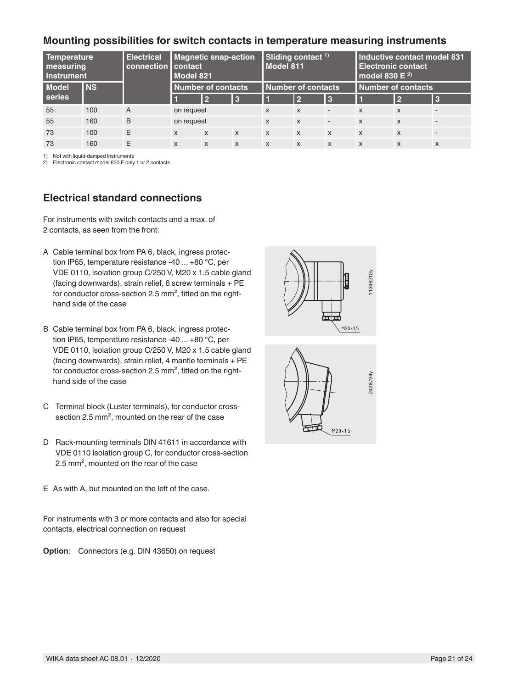## **Mounting possibilities for switch contacts in temperature measuring instruments**

| Temperature<br>measuring<br><b>l</b> instrument |           | <b>Electrical</b><br>connection contact | <b>Magnetic snap-action</b><br>Model 821 |                           | Sliding contact <sup>1)</sup><br>Model 811 |                           |                           | Inductive contact model 831<br><b>Electronic contact</b><br>model 830 $E^{2}$ |                           |                           |                           |
|-------------------------------------------------|-----------|-----------------------------------------|------------------------------------------|---------------------------|--------------------------------------------|---------------------------|---------------------------|-------------------------------------------------------------------------------|---------------------------|---------------------------|---------------------------|
| <b>Model</b>                                    | <b>NS</b> |                                         | <b>Number of contacts</b>                |                           | Number of contacts                         |                           | Number of contacts        |                                                                               |                           |                           |                           |
| <b>series</b>                                   |           |                                         |                                          | $\overline{2}$            | <b>B</b>                                   |                           | l 2                       | <b>3</b>                                                                      |                           | $\overline{2}$            | R                         |
| 55                                              | 100       | $\overline{A}$                          | on request                               |                           |                                            | $\boldsymbol{\mathsf{x}}$ | $\mathsf{x}$              | $\overline{\phantom{a}}$                                                      | $\boldsymbol{\mathsf{x}}$ | $\boldsymbol{\mathsf{x}}$ |                           |
| 55                                              | 160       | B                                       | on request                               |                           |                                            | $\boldsymbol{\mathsf{x}}$ | $\boldsymbol{\mathsf{x}}$ | ۰                                                                             | $\boldsymbol{\mathsf{x}}$ | $\boldsymbol{\mathsf{x}}$ |                           |
| 73                                              | 100       | E                                       | $\boldsymbol{\mathsf{x}}$                | $\mathbf{x}$              | $\boldsymbol{\mathsf{x}}$                  | $\mathsf{x}$              | $\mathsf{x}$              | $\mathbf{x}$                                                                  | $\boldsymbol{\mathsf{x}}$ | $\mathsf{x}$              |                           |
| 73                                              | 160       | Ε                                       | X                                        | $\boldsymbol{\mathsf{x}}$ | $\boldsymbol{\mathsf{x}}$                  | $\boldsymbol{\mathsf{x}}$ | $\mathsf{x}$              | $\boldsymbol{\mathsf{x}}$                                                     | $\boldsymbol{\mathsf{x}}$ | $\boldsymbol{\mathsf{x}}$ | $\boldsymbol{\mathsf{x}}$ |

1) Not with liquid-damped instruments

2) Electronic contact model 830 E only 1 or 2 contacts

## **Electrical standard connections**

For instruments with switch contacts and a max. of 2 contacts, as seen from the front:

- A Cable terminal box from PA 6, black, ingress protection IP65, temperature resistance -40 ... +80 °C, per VDE 0110, lsolation group C/250 V, M20 x 1.5 cable gland (facing downwards), strain relief, 6 screw terminals + PE for conductor cross-section 2.5 mm<sup>2</sup>, fitted on the righthand side of the case
- VDE 0110, Isolation group C2850V MB2 x 15 actobe glants and the conductor cross-section 2.5 mm<sup>2</sup>, fitted on the right-<br>for conductor cross-section 2.5 mm<sup>3</sup>, fitted on the right-<br>tand slot of the case<br>that she case the B Cable terminal box from PA 6, black, ingress protection IP65, temperature resistance -40 ... +80 °C, per VDE 0110, lsolation group C/250 V, M20 x 1.5 cable gland (facing downwards), strain relief, 4 mantle terminals + PE for conductor cross-section 2.5  $mm<sup>2</sup>$ , fitted on the righthand side of the case
- C Terminal block (Luster terminals), for conductor crosssection 2.5 mm<sup>2</sup>, mounted on the rear of the case
- D Rack-mounting terminals DlN 41611 in accordance with VDE 0110 lsolation group C, for conductor cross-section 2.5 mm², mounted on the rear of the case
- E As with A, but mounted on the left of the case.

For instruments with 3 or more contacts and also for special contacts, electrical connection on request

**Option**: Connectors (e.g. DIN 43650) on request



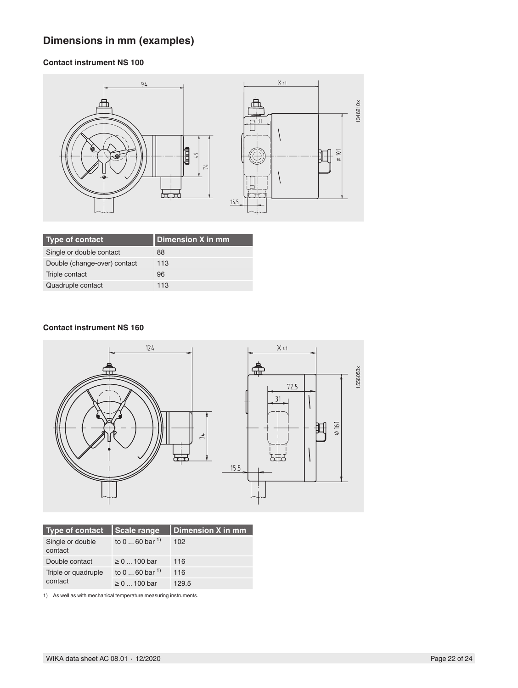## **Dimensions in mm (examples)**

## **Contact instrument NS 100**



| Type of contact              | Dimension X in mm |
|------------------------------|-------------------|
| Single or double contact     | 88                |
| Double (change-over) contact | 113               |
| Triple contact               | 96                |
| Quadruple contact            | 113               |

### **Contact instrument NS 160**



| <b>Type of contact</b>      | <b>Scale range</b>   | Dimension X in mm |
|-----------------------------|----------------------|-------------------|
| Single or double<br>contact | to 0  60 bar $^{1}$  | 102               |
| Double contact              | $\geq 0$ 100 bar     | 116               |
| Triple or quadruple         | to $060$ bar $^{1)}$ | 116               |
| contact                     | $\geq 0$ 100 bar     | 129.5             |

1) As well as with mechanical temperature measuring instruments.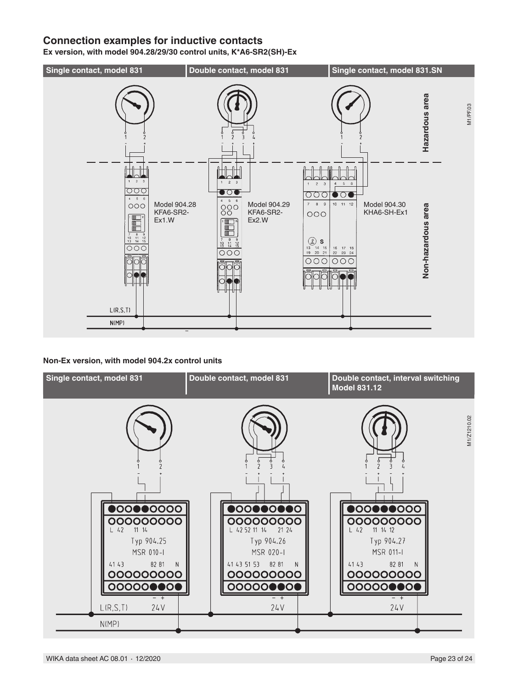## **Connection examples for inductive contacts**

**Ex version, with model 904.28/29/30 control units, K\*A6-SR2(SH)-Ex**



### **Non-Ex version, with model 904.2x control units**